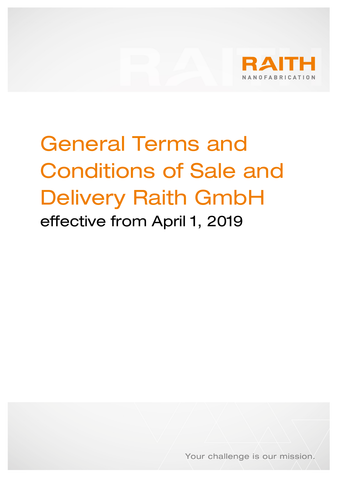

# General Terms and Conditions of Sale and Delivery Raith GmbH effective from April 1, 2019

Your challenge is our mission.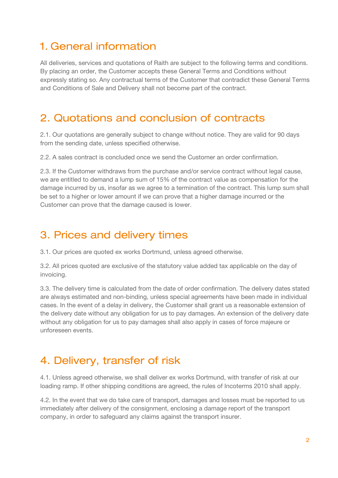## 1. General information

All deliveries, services and quotations of Raith are subject to the following terms and conditions. By placing an order, the Customer accepts these General Terms and Conditions without expressly stating so. Any contractual terms of the Customer that contradict these General Terms and Conditions of Sale and Delivery shall not become part of the contract.

#### 2. Quotations and conclusion of contracts

2.1. Our quotations are generally subject to change without notice. They are valid for 90 days from the sending date, unless specified otherwise.

2.2. A sales contract is concluded once we send the Customer an order confirmation.

2.3. If the Customer withdraws from the purchase and/or service contract without legal cause, we are entitled to demand a lump sum of 15% of the contract value as compensation for the damage incurred by us, insofar as we agree to a termination of the contract. This lump sum shall be set to a higher or lower amount if we can prove that a higher damage incurred or the Customer can prove that the damage caused is lower.

#### 3. Prices and delivery times

3.1. Our prices are quoted ex works Dortmund, unless agreed otherwise.

3.2. All prices quoted are exclusive of the statutory value added tax applicable on the day of invoicing.

3.3. The delivery time is calculated from the date of order confirmation. The delivery dates stated are always estimated and non-binding, unless special agreements have been made in individual cases. In the event of a delay in delivery, the Customer shall grant us a reasonable extension of the delivery date without any obligation for us to pay damages. An extension of the delivery date without any obligation for us to pay damages shall also apply in cases of force majeure or unforeseen events.

### 4. Delivery, transfer of risk

4.1. Unless agreed otherwise, we shall deliver ex works Dortmund, with transfer of risk at our loading ramp. If other shipping conditions are agreed, the rules of Incoterms 2010 shall apply.

4.2. In the event that we do take care of transport, damages and losses must be reported to us immediately after delivery of the consignment, enclosing a damage report of the transport company, in order to safeguard any claims against the transport insurer.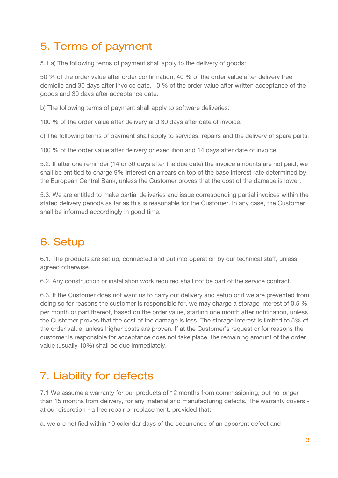## 5. Terms of payment

5.1 a) The following terms of payment shall apply to the delivery of goods:

50 % of the order value after order confirmation, 40 % of the order value after delivery free domicile and 30 days after invoice date, 10 % of the order value after written acceptance of the goods and 30 days after acceptance date.

b) The following terms of payment shall apply to software deliveries:

100 % of the order value after delivery and 30 days after date of invoice.

c) The following terms of payment shall apply to services, repairs and the delivery of spare parts:

100 % of the order value after delivery or execution and 14 days after date of invoice.

5.2. If after one reminder (14 or 30 days after the due date) the invoice amounts are not paid, we shall be entitled to charge 9% interest on arrears on top of the base interest rate determined by the European Central Bank, unless the Customer proves that the cost of the damage is lower.

5.3. We are entitled to make partial deliveries and issue corresponding partial invoices within the stated delivery periods as far as this is reasonable for the Customer. In any case, the Customer shall be informed accordingly in good time.

# 6. Setup

6.1. The products are set up, connected and put into operation by our technical staff, unless agreed otherwise.

6.2. Any construction or installation work required shall not be part of the service contract.

6.3. If the Customer does not want us to carry out delivery and setup or if we are prevented from doing so for reasons the customer is responsible for, we may charge a storage interest of 0.5 % per month or part thereof, based on the order value, starting one month after notification, unless the Customer proves that the cost of the damage is less. The storage interest is limited to 5% of the order value, unless higher costs are proven. If at the Customer's request or for reasons the customer is responsible for acceptance does not take place, the remaining amount of the order value (usually 10%) shall be due immediately.

# 7. Liability for defects

7.1 We assume a warranty for our products of 12 months from commissioning, but no longer than 15 months from delivery, for any material and manufacturing defects. The warranty covers at our discretion - a free repair or replacement, provided that:

a. we are notified within 10 calendar days of the occurrence of an apparent defect and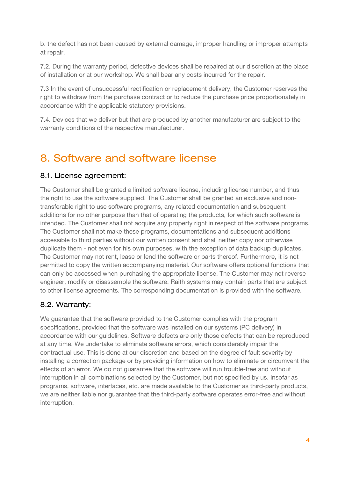b. the defect has not been caused by external damage, improper handling or improper attempts at repair.

7.2. During the warranty period, defective devices shall be repaired at our discretion at the place of installation or at our workshop. We shall bear any costs incurred for the repair.

7.3 In the event of unsuccessful rectification or replacement delivery, the Customer reserves the right to withdraw from the purchase contract or to reduce the purchase price proportionately in accordance with the applicable statutory provisions.

7.4. Devices that we deliver but that are produced by another manufacturer are subject to the warranty conditions of the respective manufacturer.

## 8. Software and software license

#### 8.1. License agreement:

The Customer shall be granted a limited software license, including license number, and thus the right to use the software supplied. The Customer shall be granted an exclusive and nontransferable right to use software programs, any related documentation and subsequent additions for no other purpose than that of operating the products, for which such software is intended. The Customer shall not acquire any property right in respect of the software programs. The Customer shall not make these programs, documentations and subsequent additions accessible to third parties without our written consent and shall neither copy nor otherwise duplicate them - not even for his own purposes, with the exception of data backup duplicates. The Customer may not rent, lease or lend the software or parts thereof. Furthermore, it is not permitted to copy the written accompanying material. Our software offers optional functions that can only be accessed when purchasing the appropriate license. The Customer may not reverse engineer, modify or disassemble the software. Raith systems may contain parts that are subject to other license agreements. The corresponding documentation is provided with the software.

#### 8.2. Warranty:

We guarantee that the software provided to the Customer complies with the program specifications, provided that the software was installed on our systems (PC delivery) in accordance with our guidelines. Software defects are only those defects that can be reproduced at any time. We undertake to eliminate software errors, which considerably impair the contractual use. This is done at our discretion and based on the degree of fault severity by installing a correction package or by providing information on how to eliminate or circumvent the effects of an error. We do not guarantee that the software will run trouble-free and without interruption in all combinations selected by the Customer, but not specified by us. Insofar as programs, software, interfaces, etc. are made available to the Customer as third-party products, we are neither liable nor guarantee that the third-party software operates error-free and without interruption.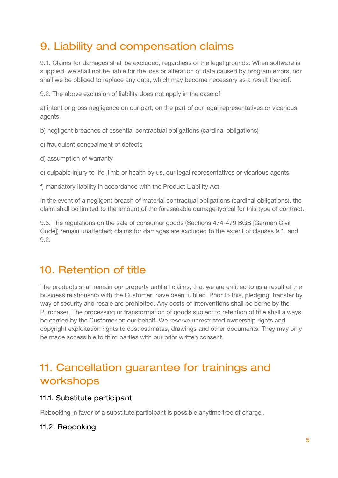## 9. Liability and compensation claims

9.1. Claims for damages shall be excluded, regardless of the legal grounds. When software is supplied, we shall not be liable for the loss or alteration of data caused by program errors, nor shall we be obliged to replace any data, which may become necessary as a result thereof.

9.2. The above exclusion of liability does not apply in the case of

a) intent or gross negligence on our part, on the part of our legal representatives or vicarious agents

b) negligent breaches of essential contractual obligations (cardinal obligations)

- c) fraudulent concealment of defects
- d) assumption of warranty

e) culpable injury to life, limb or health by us, our legal representatives or vicarious agents

f) mandatory liability in accordance with the Product Liability Act.

In the event of a negligent breach of material contractual obligations (cardinal obligations), the claim shall be limited to the amount of the foreseeable damage typical for this type of contract.

9.3. The regulations on the sale of consumer goods (Sections 474-479 BGB [German Civil Code]) remain unaffected; claims for damages are excluded to the extent of clauses 9.1. and 9.2.

#### 10. Retention of title

The products shall remain our property until all claims, that we are entitled to as a result of the business relationship with the Customer, have been fulfilled. Prior to this, pledging, transfer by way of security and resale are prohibited. Any costs of interventions shall be borne by the Purchaser. The processing or transformation of goods subject to retention of title shall always be carried by the Customer on our behalf. We reserve unrestricted ownership rights and copyright exploitation rights to cost estimates, drawings and other documents. They may only be made accessible to third parties with our prior written consent.

## 11. Cancellation guarantee for trainings and workshops

#### 11.1. Substitute participant

Rebooking in favor of a substitute participant is possible anytime free of charge..

#### 11.2. Rebooking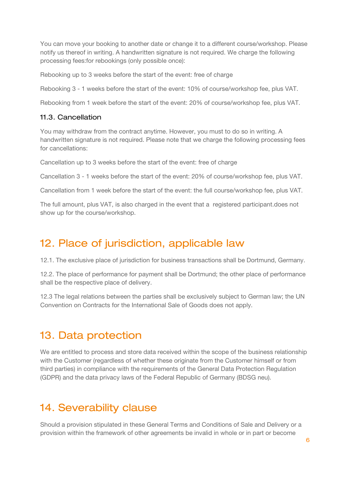You can move your booking to another date or change it to a different course/workshop. Please notify us thereof in writing. A handwritten signature is not required. We charge the following processing fees:for rebookings (only possible once):

Rebooking up to 3 weeks before the start of the event: free of charge

Rebooking 3 - 1 weeks before the start of the event: 10% of course/workshop fee, plus VAT.

Rebooking from 1 week before the start of the event: 20% of course/workshop fee, plus VAT.

#### 11.3. Cancellation

You may withdraw from the contract anytime. However, you must to do so in writing. A handwritten signature is not required. Please note that we charge the following processing fees for cancellations:

Cancellation up to 3 weeks before the start of the event: free of charge

Cancellation 3 - 1 weeks before the start of the event: 20% of course/workshop fee, plus VAT.

Cancellation from 1 week before the start of the event: the full course/workshop fee, plus VAT.

The full amount, plus VAT, is also charged in the event that a registered participant.does not show up for the course/workshop.

## 12. Place of jurisdiction, applicable law

12.1. The exclusive place of jurisdiction for business transactions shall be Dortmund, Germany.

12.2. The place of performance for payment shall be Dortmund; the other place of performance shall be the respective place of delivery.

12.3 The legal relations between the parties shall be exclusively subject to German law; the UN Convention on Contracts for the International Sale of Goods does not apply.

### 13. Data protection

We are entitled to process and store data received within the scope of the business relationship with the Customer (regardless of whether these originate from the Customer himself or from third parties) in compliance with the requirements of the General Data Protection Regulation (GDPR) and the data privacy laws of the Federal Republic of Germany (BDSG neu).

### 14. Severability clause

Should a provision stipulated in these General Terms and Conditions of Sale and Delivery or a provision within the framework of other agreements be invalid in whole or in part or become